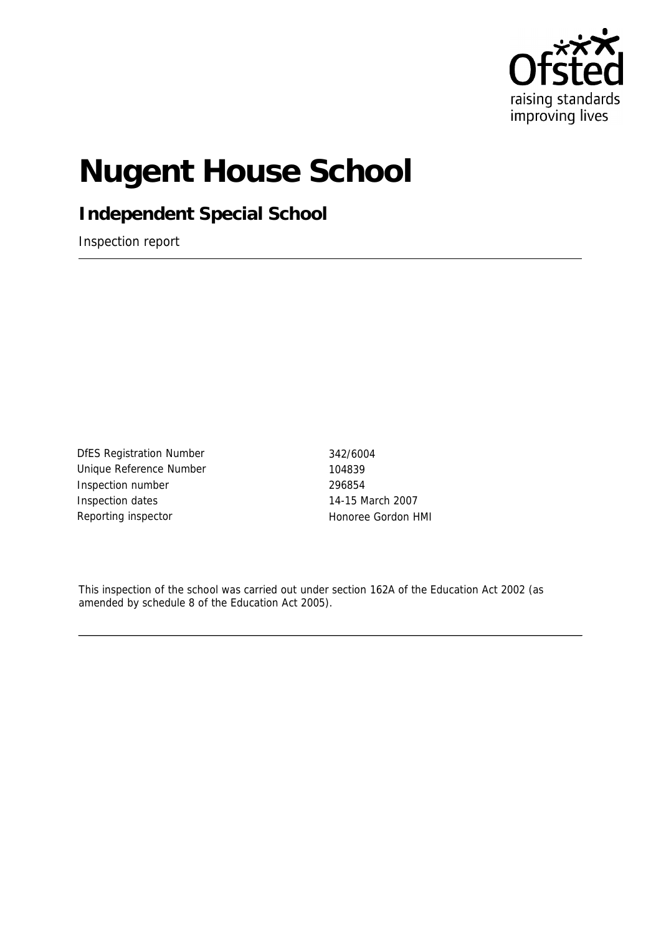

# **Nugent House School**

**Independent Special School**

Inspection report

DfES Registration Number 342/6004 Unique Reference Number 104839 Inspection number 296854 Inspection dates 14-15 March 2007 Reporting inspector **Honore** Honoree Gordon HMI

This inspection of the school was carried out under section 162A of the Education Act 2002 (as amended by schedule 8 of the Education Act 2005).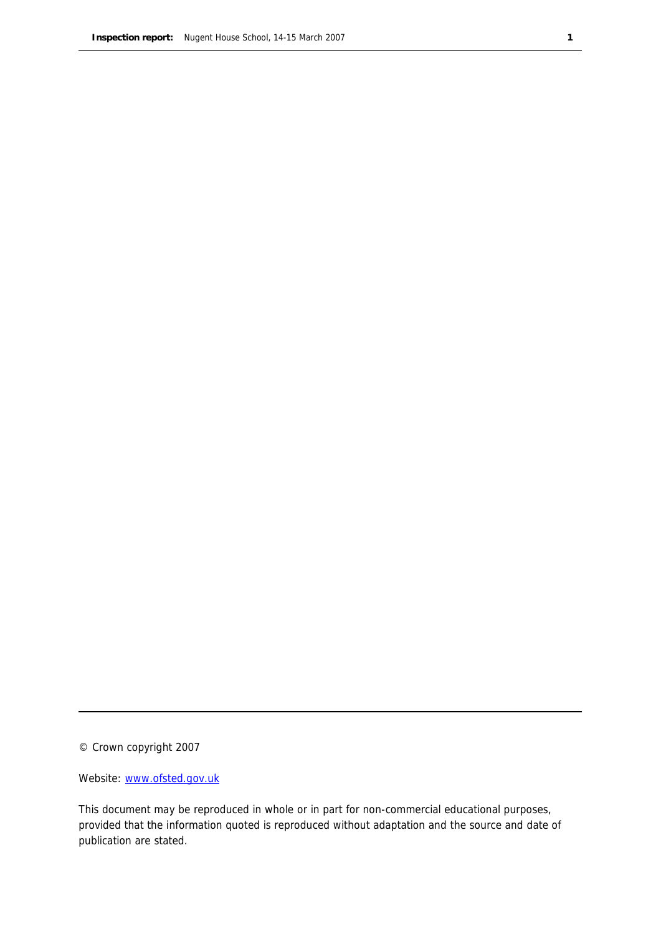© Crown copyright 2007

Website: www.ofsted.gov.uk

This document may be reproduced in whole or in part for non-commercial educational purposes, provided that the information quoted is reproduced without adaptation and the source and date of publication are stated.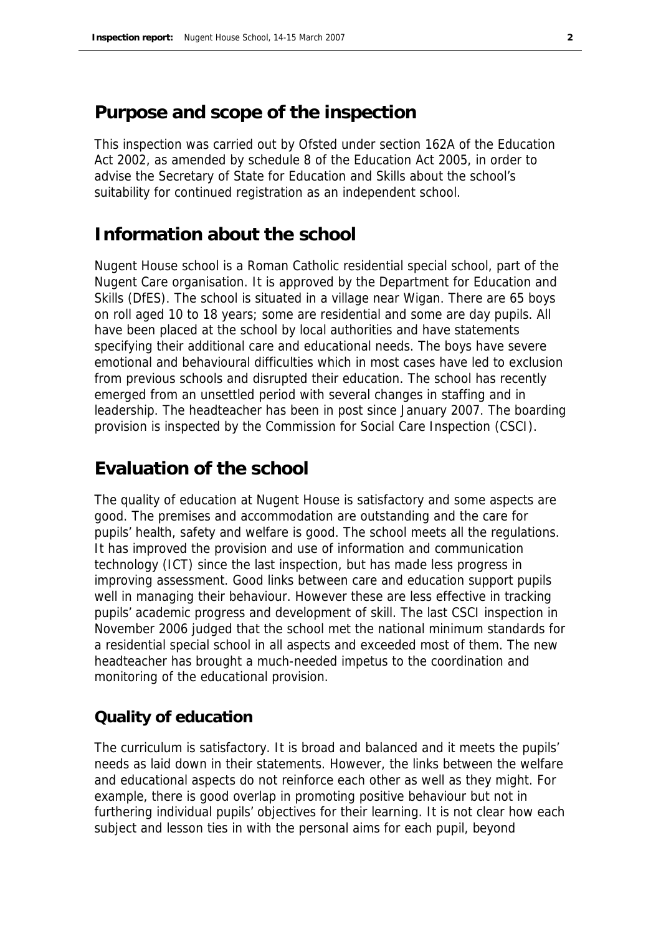## **Purpose and scope of the inspection**

This inspection was carried out by Ofsted under section 162A of the Education Act 2002, as amended by schedule 8 of the Education Act 2005, in order to advise the Secretary of State for Education and Skills about the school's suitability for continued registration as an independent school.

## **Information about the school**

Nugent House school is a Roman Catholic residential special school, part of the Nugent Care organisation. It is approved by the Department for Education and Skills (DfES). The school is situated in a village near Wigan. There are 65 boys on roll aged 10 to 18 years; some are residential and some are day pupils. All have been placed at the school by local authorities and have statements specifying their additional care and educational needs. The boys have severe emotional and behavioural difficulties which in most cases have led to exclusion from previous schools and disrupted their education. The school has recently emerged from an unsettled period with several changes in staffing and in leadership. The headteacher has been in post since January 2007. The boarding provision is inspected by the Commission for Social Care Inspection (CSCI).

## **Evaluation of the school**

The quality of education at Nugent House is satisfactory and some aspects are good. The premises and accommodation are outstanding and the care for pupils' health, safety and welfare is good. The school meets all the regulations. It has improved the provision and use of information and communication technology (ICT) since the last inspection, but has made less progress in improving assessment. Good links between care and education support pupils well in managing their behaviour. However these are less effective in tracking pupils' academic progress and development of skill. The last CSCI inspection in November 2006 judged that the school met the national minimum standards for a residential special school in all aspects and exceeded most of them. The new headteacher has brought a much-needed impetus to the coordination and monitoring of the educational provision.

#### **Quality of education**

The curriculum is satisfactory. It is broad and balanced and it meets the pupils' needs as laid down in their statements. However, the links between the welfare and educational aspects do not reinforce each other as well as they might. For example, there is good overlap in promoting positive behaviour but not in furthering individual pupils' objectives for their learning. It is not clear how each subject and lesson ties in with the personal aims for each pupil, beyond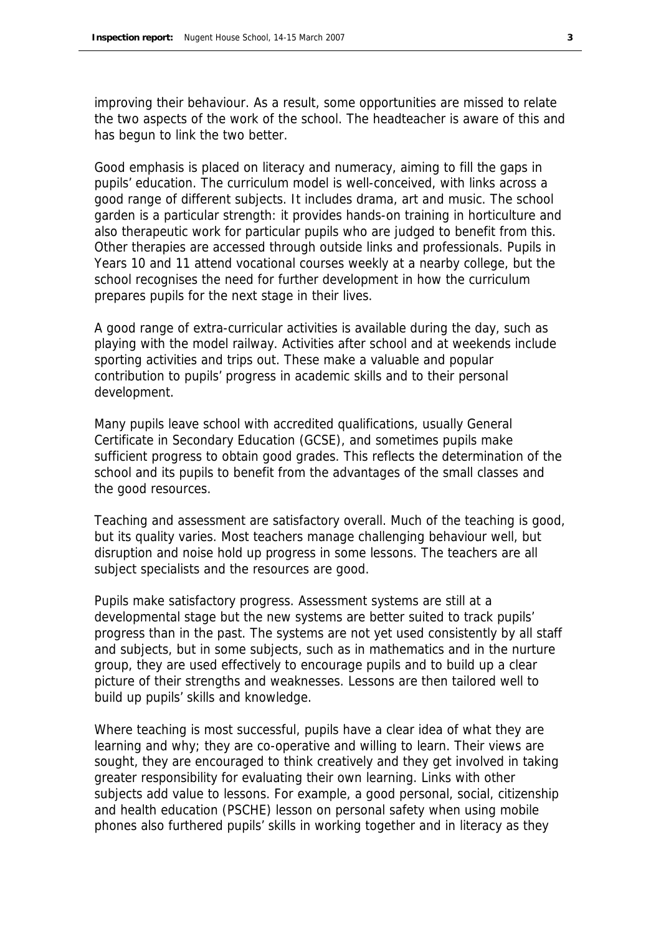improving their behaviour. As a result, some opportunities are missed to relate the two aspects of the work of the school. The headteacher is aware of this and has begun to link the two better.

Good emphasis is placed on literacy and numeracy, aiming to fill the gaps in pupils' education. The curriculum model is well-conceived, with links across a good range of different subjects. It includes drama, art and music. The school garden is a particular strength: it provides hands-on training in horticulture and also therapeutic work for particular pupils who are judged to benefit from this. Other therapies are accessed through outside links and professionals. Pupils in Years 10 and 11 attend vocational courses weekly at a nearby college, but the school recognises the need for further development in how the curriculum prepares pupils for the next stage in their lives.

A good range of extra-curricular activities is available during the day, such as playing with the model railway. Activities after school and at weekends include sporting activities and trips out. These make a valuable and popular contribution to pupils' progress in academic skills and to their personal development.

Many pupils leave school with accredited qualifications, usually General Certificate in Secondary Education (GCSE), and sometimes pupils make sufficient progress to obtain good grades. This reflects the determination of the school and its pupils to benefit from the advantages of the small classes and the good resources.

Teaching and assessment are satisfactory overall. Much of the teaching is good, but its quality varies. Most teachers manage challenging behaviour well, but disruption and noise hold up progress in some lessons. The teachers are all subject specialists and the resources are good.

Pupils make satisfactory progress. Assessment systems are still at a developmental stage but the new systems are better suited to track pupils' progress than in the past. The systems are not yet used consistently by all staff and subjects, but in some subjects, such as in mathematics and in the nurture group, they are used effectively to encourage pupils and to build up a clear picture of their strengths and weaknesses. Lessons are then tailored well to build up pupils' skills and knowledge.

Where teaching is most successful, pupils have a clear idea of what they are learning and why; they are co-operative and willing to learn. Their views are sought, they are encouraged to think creatively and they get involved in taking greater responsibility for evaluating their own learning. Links with other subjects add value to lessons. For example, a good personal, social, citizenship and health education (PSCHE) lesson on personal safety when using mobile phones also furthered pupils' skills in working together and in literacy as they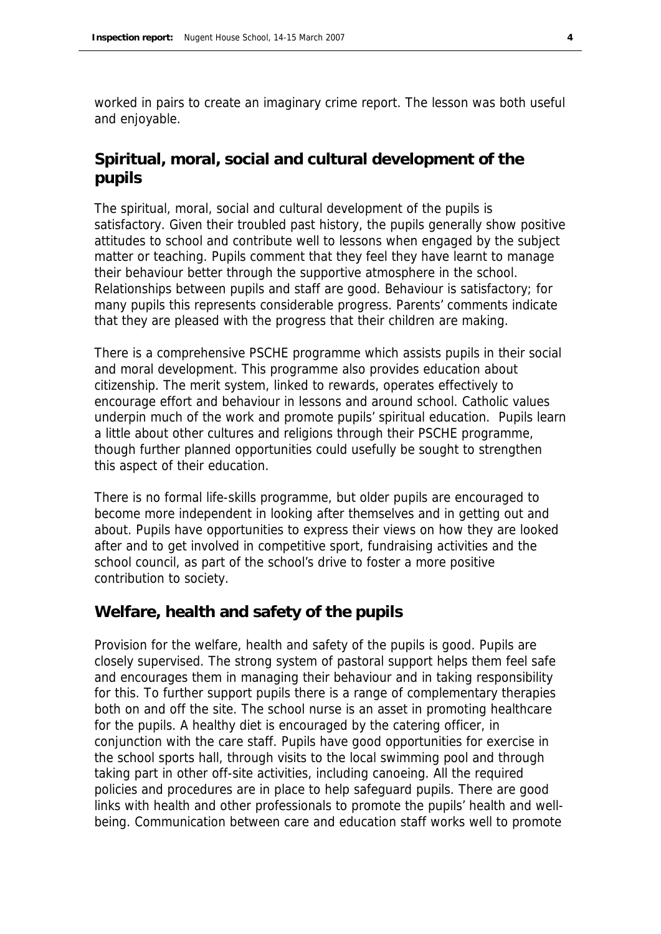worked in pairs to create an imaginary crime report. The lesson was both useful and enjoyable.

#### **Spiritual, moral, social and cultural development of the pupils**

The spiritual, moral, social and cultural development of the pupils is satisfactory. Given their troubled past history, the pupils generally show positive attitudes to school and contribute well to lessons when engaged by the subject matter or teaching. Pupils comment that they feel they have learnt to manage their behaviour better through the supportive atmosphere in the school. Relationships between pupils and staff are good. Behaviour is satisfactory; for many pupils this represents considerable progress. Parents' comments indicate that they are pleased with the progress that their children are making.

There is a comprehensive PSCHE programme which assists pupils in their social and moral development. This programme also provides education about citizenship. The merit system, linked to rewards, operates effectively to encourage effort and behaviour in lessons and around school. Catholic values underpin much of the work and promote pupils' spiritual education. Pupils learn a little about other cultures and religions through their PSCHE programme, though further planned opportunities could usefully be sought to strengthen this aspect of their education.

There is no formal life-skills programme, but older pupils are encouraged to become more independent in looking after themselves and in getting out and about. Pupils have opportunities to express their views on how they are looked after and to get involved in competitive sport, fundraising activities and the school council, as part of the school's drive to foster a more positive contribution to society.

#### **Welfare, health and safety of the pupils**

Provision for the welfare, health and safety of the pupils is good. Pupils are closely supervised. The strong system of pastoral support helps them feel safe and encourages them in managing their behaviour and in taking responsibility for this. To further support pupils there is a range of complementary therapies both on and off the site. The school nurse is an asset in promoting healthcare for the pupils. A healthy diet is encouraged by the catering officer, in conjunction with the care staff. Pupils have good opportunities for exercise in the school sports hall, through visits to the local swimming pool and through taking part in other off-site activities, including canoeing. All the required policies and procedures are in place to help safeguard pupils. There are good links with health and other professionals to promote the pupils' health and wellbeing. Communication between care and education staff works well to promote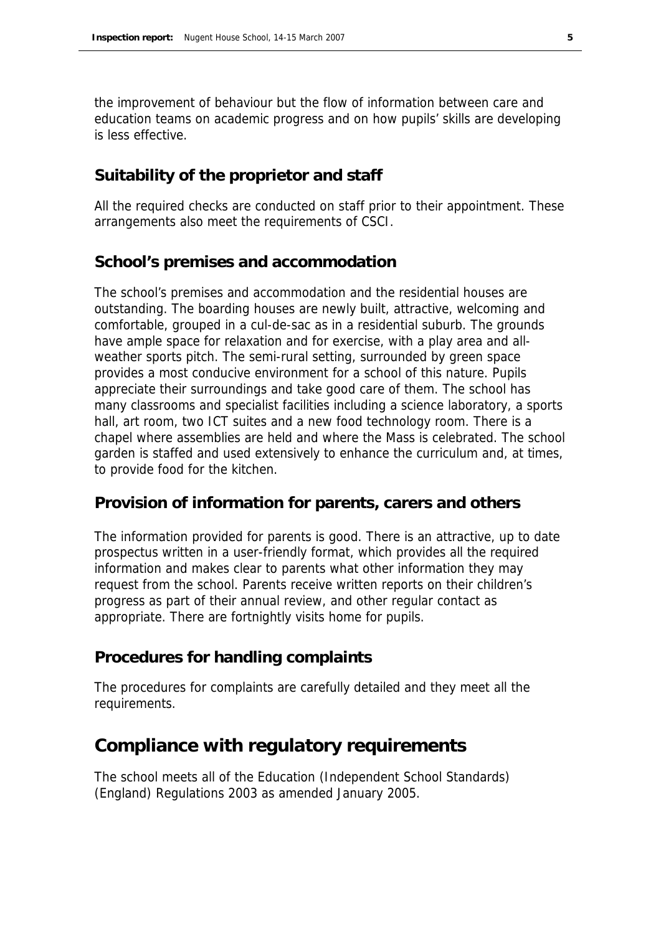the improvement of behaviour but the flow of information between care and education teams on academic progress and on how pupils' skills are developing is less effective.

#### **Suitability of the proprietor and staff**

All the required checks are conducted on staff prior to their appointment. These arrangements also meet the requirements of CSCI.

#### **School's premises and accommodation**

The school's premises and accommodation and the residential houses are outstanding. The boarding houses are newly built, attractive, welcoming and comfortable, grouped in a cul-de-sac as in a residential suburb. The grounds have ample space for relaxation and for exercise, with a play area and allweather sports pitch. The semi-rural setting, surrounded by green space provides a most conducive environment for a school of this nature. Pupils appreciate their surroundings and take good care of them. The school has many classrooms and specialist facilities including a science laboratory, a sports hall, art room, two ICT suites and a new food technology room. There is a chapel where assemblies are held and where the Mass is celebrated. The school garden is staffed and used extensively to enhance the curriculum and, at times, to provide food for the kitchen.

#### **Provision of information for parents, carers and others**

The information provided for parents is good. There is an attractive, up to date prospectus written in a user-friendly format, which provides all the required information and makes clear to parents what other information they may request from the school. Parents receive written reports on their children's progress as part of their annual review, and other regular contact as appropriate. There are fortnightly visits home for pupils.

#### **Procedures for handling complaints**

The procedures for complaints are carefully detailed and they meet all the requirements.

### **Compliance with regulatory requirements**

The school meets all of the Education (Independent School Standards) (England) Regulations 2003 as amended January 2005.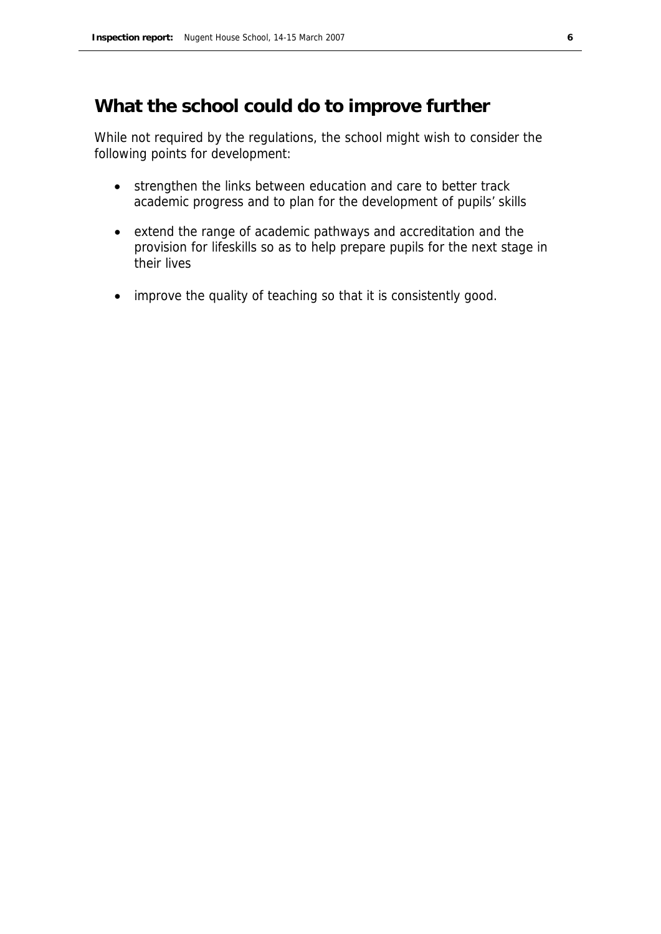## **What the school could do to improve further**

While not required by the regulations, the school might wish to consider the following points for development:

- strengthen the links between education and care to better track academic progress and to plan for the development of pupils' skills
- extend the range of academic pathways and accreditation and the provision for lifeskills so as to help prepare pupils for the next stage in their lives
- improve the quality of teaching so that it is consistently good.